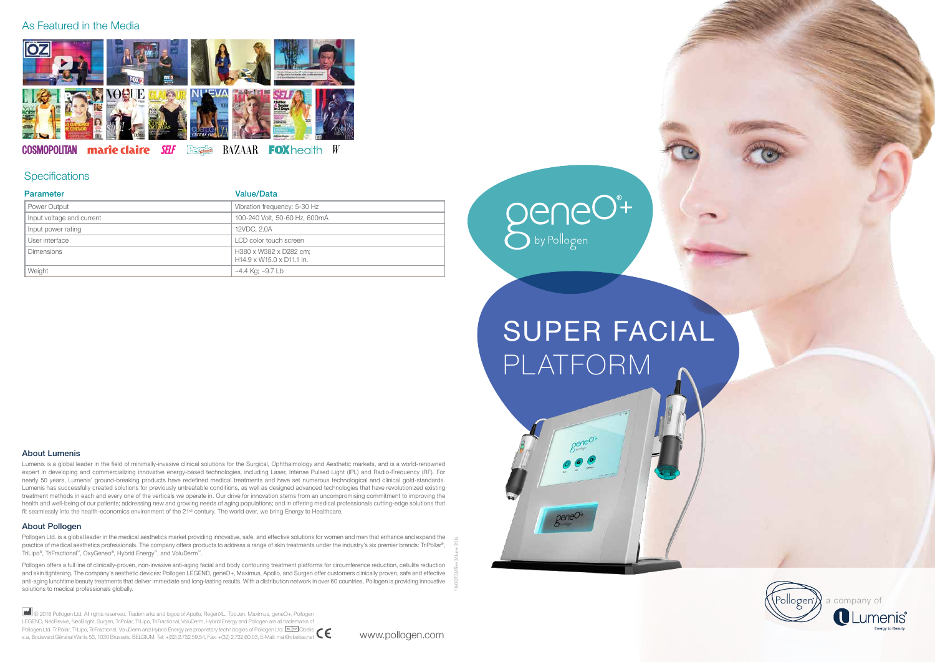11600733/Rev 3/June 2016

## SUPER FACIAL PLATFORM

geneo<sup>+</sup>



### As Featured in the Media



### marie claire SELF BAZAAR **COSMOPOLITAN** Fernie **FOX** health *W*

## **Specifications**

### About Pollogen

Pollogen Ltd. is a global leader in the medical aesthetics market providing innovative, safe, and effective solutions for women and men that enhance and expand the practice of medical aesthetics professionals. The company offers products to address a range of skin treatments under the industry's six premier brands: TriPollar®, TriLipo®, TriFractional™, OxyGeneo®, Hybrid Energy™, and VoluDerm™.

Pollogen offers a full line of clinically-proven, non-invasive anti-aging facial and body contouring treatment platforms for circumference reduction, cellulite reduction and skin tightening. The company's aesthetic devices: Pollogen LEGEND, geneO+, Maximus, Apollo, and Surgen offer customers clinically proven, safe and effective anti-aging lunchtime beauty treatments that deliver immediate and long-lasting results. With a distribution network in over 60 countries, Pollogen is providing innovative solutions to medical professionals globally.

Lumenis is a global leader in the field of minimally-invasive clinical solutions for the Surgical, Ophthalmology and Aesthetic markets, and is a world-renowned expert in developing and commercializing innovative energy-based technologies, including Laser, Intense Pulsed Light (IPL) and Radio-Frequency (RF). For nearly 50 years, Lumenis' ground-breaking products have redefined medical treatments and have set numerous technological and clinical gold-standards. Lumenis has successfully created solutions for previously untreatable conditions, as well as designed advanced technologies that have revolutionized existing treatment methods in each and every one of the verticals we operate in. Our drive for innovation stems from an uncompromising commitment to improving the health and well-being of our patients; addressing new and growing needs of aging populations; and in offering medical professionals cutting-edge solutions that fit seamlessly into the health-economics environment of the 21<sup>st</sup> century. The world over, we bring Energy to Healthcare.

www.pollogen.com

### About Lumenis

 © 2016 Pollogen Ltd. All rights reserved. Trademarks and logos of Apollo, RegenXL, TopJen, Maximus, geneO+, Pollogen LEGEND, NeoRevive, NeoBright, Surgen, TriPollar, TriLipo, TriFractional, VoluDerm, Hybrid Energy and Pollogen are all trademarks of Pollogen Ltd. TriPollar, TriLipo, TriFractional, VoluDerm and Hybrid Energy are proprietary technologies of Pollogen Ltd. Leler Obelis s.a, Boulevard Général Wahis 53, 1030 Brussels, BELGIUM. Tel: +(32) 2.732.59.54, Fax: +(32) 2.732.60.03, E-Mail: mail@obelise.net

| <b>Parameter</b>          | <b>Value/Data</b>                                   |
|---------------------------|-----------------------------------------------------|
| Power Output              | Vibration frequency: 5-30 Hz                        |
| Input voltage and current | 100-240 Volt, 50-60 Hz, 600mA                       |
| Input power rating        | 12VDC, 2.0A                                         |
| User interface            | LCD color touch screen                              |
| <b>Dimensions</b>         | H380 x W382 x D282 cm;<br>H14.9 x W15.0 x D11.1 in. |
| Weight                    | ~4.4 Kg; ~9.7 Lb                                    |